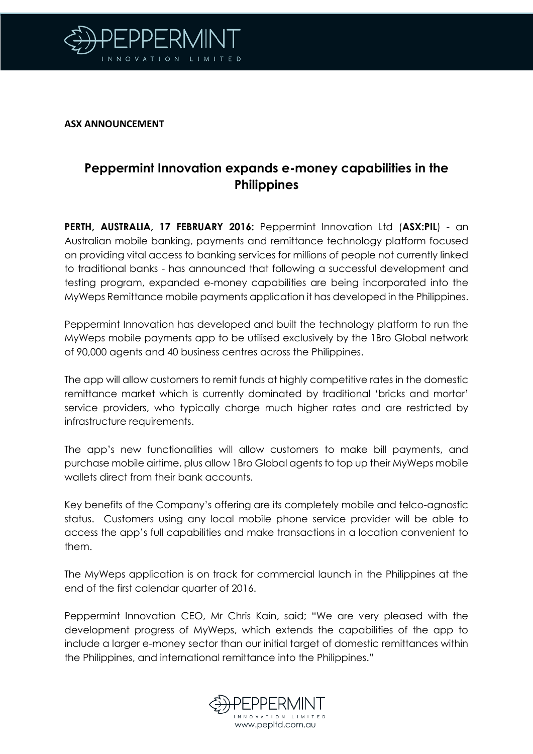

**ASX ANNOUNCEMENT**

## **Peppermint Innovation expands e-money capabilities in the Philippines**

**PERTH, AUSTRALIA, 17 FEBRUARY 2016:** Peppermint Innovation Ltd (**ASX:PIL**) - an Australian mobile banking, payments and remittance technology platform focused on providing vital access to banking services for millions of people not currently linked to traditional banks - has announced that following a successful development and testing program, expanded e-money capabilities are being incorporated into the MyWeps Remittance mobile payments application it has developed in the Philippines.

Peppermint Innovation has developed and built the technology platform to run the MyWeps mobile payments app to be utilised exclusively by the 1Bro Global network of 90,000 agents and 40 business centres across the Philippines.

The app will allow customers to remit funds at highly competitive rates in the domestic remittance market which is currently dominated by traditional 'bricks and mortar' service providers, who typically charge much higher rates and are restricted by infrastructure requirements.

The app's new functionalities will allow customers to make bill payments, and purchase mobile airtime, plus allow 1Bro Global agents to top up their MyWeps mobile wallets direct from their bank accounts.

Key benefits of the Company's offering are its completely mobile and telco-agnostic status. Customers using any local mobile phone service provider will be able to access the app's full capabilities and make transactions in a location convenient to them.

The MyWeps application is on track for commercial launch in the Philippines at the end of the first calendar quarter of 2016.

Peppermint Innovation CEO, Mr Chris Kain, said; "We are very pleased with the development progress of MyWeps, which extends the capabilities of the app to include a larger e-money sector than our initial target of domestic remittances within the Philippines, and international remittance into the Philippines."